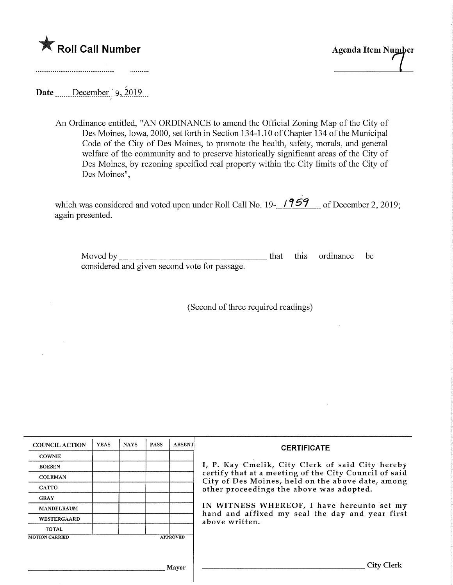



Date ......December '9, 2019...

. . . . . . . . . . .

An Ordinance entitled, "AN ORDINANCE to amend the Official Zoning Map of the City of Des Moines, Iowa, 2000, set forth in Section 134-1.10 of Chapter 134 of the Municipal Code of the City of Des Moines, to promote the health, safety, morals, and general welfare of the community and to preserve historically significant areas of the City of Des Moines, by rezoning specified real property within the City limits of the City of Des Moines",

which was considered and voted upon under Roll Call No. 19-**1957** of December 2, 2019 again presented.

Moved by considered and given second vote for passage. this ordinance be

(Second of three required readings)

| <b>COUNCIL ACTION</b> | <b>YEAS</b> | <b>NAYS</b> | <b>PASS</b> | <b>ABSENT</b>   | <b>CERTIFICATE</b>                                                                                                                                                                                                                                                                                                            |
|-----------------------|-------------|-------------|-------------|-----------------|-------------------------------------------------------------------------------------------------------------------------------------------------------------------------------------------------------------------------------------------------------------------------------------------------------------------------------|
| <b>COWNIE</b>         |             |             |             |                 |                                                                                                                                                                                                                                                                                                                               |
| <b>BOESEN</b>         |             |             |             |                 | I, P. Kay Cmelik, City Clerk of said City hereby<br>certify that at a meeting of the City Council of said<br>City of Des Moines, held on the above date, among<br>other proceedings the above was adopted.<br>IN WITNESS WHEREOF, I have hereunto set my<br>hand and affixed my seal the day and year first<br>above written. |
| <b>COLEMAN</b>        |             |             |             |                 |                                                                                                                                                                                                                                                                                                                               |
| <b>GATTO</b>          |             |             |             |                 |                                                                                                                                                                                                                                                                                                                               |
| <b>GRAY</b>           |             |             |             |                 |                                                                                                                                                                                                                                                                                                                               |
| <b>MANDELBAUM</b>     |             |             |             |                 |                                                                                                                                                                                                                                                                                                                               |
| <b>WESTERGAARD</b>    |             |             |             |                 |                                                                                                                                                                                                                                                                                                                               |
| <b>TOTAL</b>          |             |             |             |                 |                                                                                                                                                                                                                                                                                                                               |
| <b>MOTION CARRIED</b> |             |             |             | <b>APPROVED</b> |                                                                                                                                                                                                                                                                                                                               |
|                       |             |             |             |                 |                                                                                                                                                                                                                                                                                                                               |
|                       |             |             |             |                 |                                                                                                                                                                                                                                                                                                                               |
|                       |             |             |             | Mayor           | <b>City Clerk</b>                                                                                                                                                                                                                                                                                                             |
|                       |             |             |             |                 |                                                                                                                                                                                                                                                                                                                               |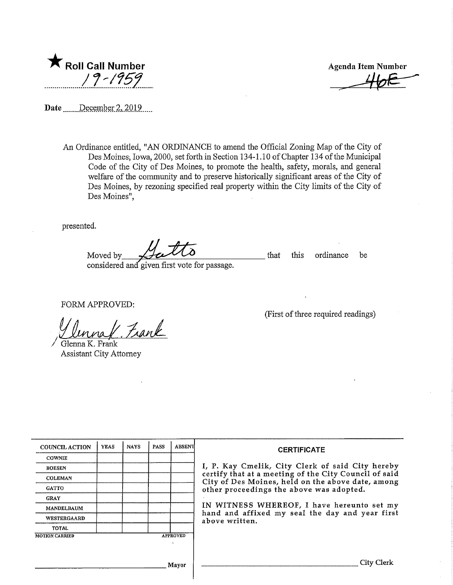

Agenda Item Number

Date \_\_\_\_\_ December 2, 2019

An Ordinance entitled, "AN ORDINANCE to amend the Official Zoning Map of the City of Des Moines, Iowa, 2000, set forth in Section 134-1.10 of Chapter 134 of the Municipal Code of the City of Des Moines, to promote the health, safety, morals, and general welfare of the community and to preserve historically significant areas of the City of Des Moines, by rezoning specified real property within the City limits of the City of Des Moines",

presented.

Moved by  $\triangle$   $\triangle$   $\triangle$  that this ordinance be considered and' given first vote for passage.

FORM APPROVED:

Frank

Glenna K, Frank Assistant City Attorney

(First of three required readings)

| <b>COUNCIL ACTION</b> | <b>YEAS</b> | <b>NAYS</b> | PASS | <b>ABSENT</b>   | <b>CERTIFICATE</b>                                                                                                                                                                                                                                                                                                            |
|-----------------------|-------------|-------------|------|-----------------|-------------------------------------------------------------------------------------------------------------------------------------------------------------------------------------------------------------------------------------------------------------------------------------------------------------------------------|
| <b>COWNIE</b>         |             |             |      |                 | I, P. Kay Cmelik, City Clerk of said City hereby<br>certify that at a meeting of the City Council of said<br>City of Des Moines, held on the above date, among<br>other proceedings the above was adopted.<br>IN WITNESS WHEREOF, I have hereunto set my<br>hand and affixed my seal the day and year first<br>above written. |
| <b>BOESEN</b>         |             |             |      |                 |                                                                                                                                                                                                                                                                                                                               |
| <b>COLEMAN</b>        |             |             |      |                 |                                                                                                                                                                                                                                                                                                                               |
| <b>GATTO</b>          |             |             |      |                 |                                                                                                                                                                                                                                                                                                                               |
| <b>GRAY</b>           |             |             |      |                 |                                                                                                                                                                                                                                                                                                                               |
| MANDELBAUM            |             |             |      |                 |                                                                                                                                                                                                                                                                                                                               |
| WESTERGAARD           |             |             |      |                 |                                                                                                                                                                                                                                                                                                                               |
| <b>TOTAL</b>          |             |             |      |                 |                                                                                                                                                                                                                                                                                                                               |
| <b>MOTION CARRIED</b> |             |             |      | <b>APPROVED</b> |                                                                                                                                                                                                                                                                                                                               |
|                       |             |             |      |                 |                                                                                                                                                                                                                                                                                                                               |
| Mayor                 |             |             |      |                 | City Clerk                                                                                                                                                                                                                                                                                                                    |
|                       |             |             |      |                 |                                                                                                                                                                                                                                                                                                                               |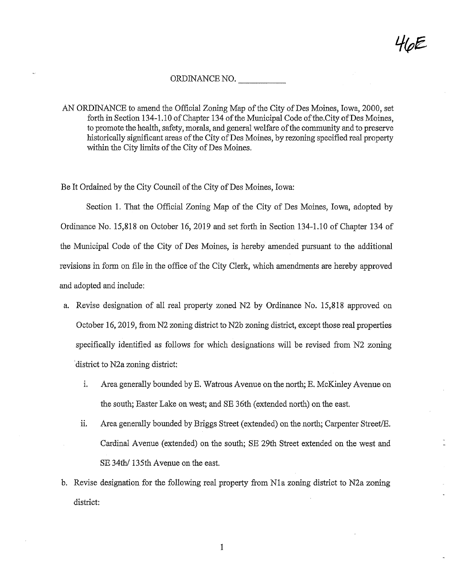## ORDINANCE NO.

AN ORDINANCE to amend the Official Zoning Map of the City of Des Moines, Iowa, 2000, set forth in Section 134-1.10 of Chapter 134 of the Municipal Code of the City of Des Moines, to promote the health, safety, morals, and general welfare of the community and to preserve historically significant areas of the City of Des Moines, by rezoning specified real property within the City limits of the City of Des Moines.

Be It Ordained by the City Council of the City of Des Moines, Iowa:

Section 1. That the Official Zoning Map of the City of Des Moines, Iowa, adopted by Ordmance No. 15,818 on October 16, 2019 and set forth in Section 134-1.10 of Chapter 134 of the Municipal Code of the City of Des Moines, is hereby amended pursuant to the additional revisions in form on file in the office of the City Clerk, which amendments are hereby approved and adopted and include:

- a. Revise designation of all real property zoned N2 by Ordinance No. 15,818 approved on October 16,2019, from N2 zoning district to N2b zoning district, except those real properties specifically identified as follows for which designations will be revised from N2 zoning district to N2a zoning district:
	- i. Area generally bounded by E. Watrous Avenue on the north; E. McKinley Avenue on the south; Easter Lake on west; and SE 36th (extended north) on the east,
	- ii. Area generally bounded by Briggs Street (extended) on the north; Carpenter Street/E, Cardinal Avenue (extended) on the south; SB 29th Street extended on the west and SE 34th/ 135th Avenue on the east.
- b. Revise designation for the following real property from N1a zoning district to N2a zoning district:

 $\mathbf{1}$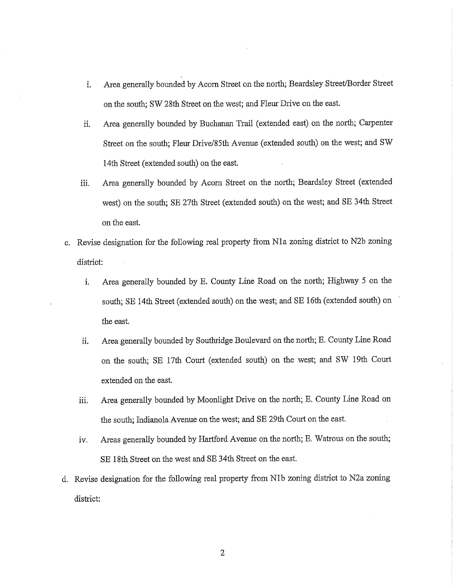- i. Area generally bounded by Acorn Street on the north; Beardsley Street/Border Street on the south; SW 28fh. Street on the west; and Flew Drive on the east.
- ii. Area generally bounded by Buchanan Trail (extended east) on the north; Carpenter Street on the south; Fleur Drive/85fti Avenue (extended south) on the west; and SW 14th Street (extended south) on the east.
- iii. Area generally bounded by Acorn Street on the north; Beardsley Street (extended west) on the south; SB 27th Street (extended south) on the west; and SE 34th Street on the east.
- c. Revise designation for the following real property from Nla zoning district to N2b zoning district:
	- i. Area generally bounded by E. County Line Road on the north; Highway 5 on the south; SB 14th Street (extended south) on the west; and SB 16th (extended south) on the east,
	- ii. Area generally bounded by Southridge Boulevard on the north; E. County Line Road on the south; SB 17th Court (extended south) on the west; and SW 19th Court extended on the east.
	- iii. Area generally bounded by Moonlight Drive on the north; E. County Line Road on the south; Indianola Avenue on the west; and SE 29th Court on the east.
	- iv. Areas generally bounded by Hartford Avenue on the north; E. Watrous on the south; SE 18th Street on the west and SE 34th Street on the east.
- d. Revise designation for the following real property from Nlb zoning district to N2a zoning district:

 $\overline{2}$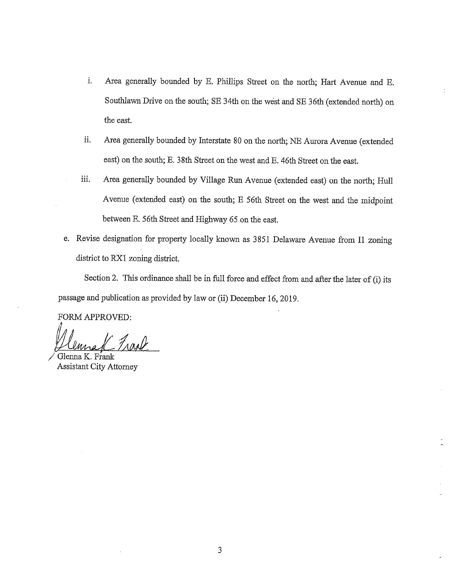- i. Area generally bounded by E. Phillips Street on the north; Hart Avenue and E. Southlawn Drive on the south; SB 34th on the west and SB 36th (extended north) on the east.
- ii. Area generally bounded by Interstate 80 on the north; NE Aurora Avenue (extended east) on the south; E. 38th Street on the west and E. 46th Street on the east.
- iii. Area generally bounded by Village Run Avenue (extended east) on the north; Hull Avenue (extended east) on the south; E 56th Street on the west and the midpoint between E. 56th Street and Highway 65 on the east,
- e. Revise designation for property locally known as 3851 Delaware Avenue from I1 zoning district to RX1 zoning district.

Section 2. This ordinance shall be in full force and effect from and after the later of  $(i)$  its passage and publication as provided by law or (ii) December 16,2019.

FORM APPROVED:

UL. 7A^

Glenna K. Frank Assistant City Attorney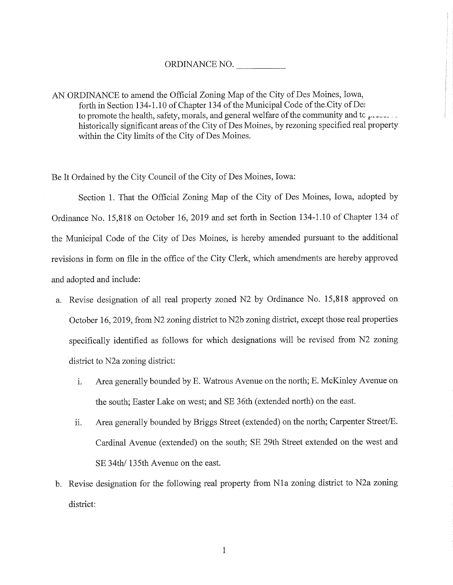## ORDINANCE NO.

AN ORDINANCE to amend the Official Zoning Map of the City of Des Moines, Iowa, forth in Section 134-1.10 of Chapter 134 of the Municipal Code of the City of Dei to promote the health, safety, morals, and general welfare of the community and tc  $\mu$ historically significant areas of the City of Des Moines, by rezoning specified real property within the City limits of the City of Des Moines.

Be It Ordained by the City Council of the City of Des Moines, Iowa:

Section 1. That the Official Zoning Map of the City of Des Moines, Iowa, adopted by Ordinance No. 15,818 on October 16, 2019 and set forth in Section 134-1.10 of Chapter 134 of the Municipal Code of the City of Des Moines, is hereby amended pursuant to the additional revisions in form on file in the office of the City Clerk, which amendments are hereby approved and adopted and include:

- a. Revise designation of all real property zoned N2 by Ordinance No. 15,818 approved on October 16,2019, from N2 zoning district to N2b zoning district, except those real properties specifically identified as follows for which designations will be revised from N2 zoning district to N2a zoning district:
	- i. Area generally bounded by E. Watrous Avenue on the north; E. McKinley Avenue on the south; Easter Lake on west; and SE 36th (extended north) on the east.
	- ii. Area generally bounded by Briggs Street (extended) on the north; Carpenter Street/E. Cardinal Avenue (extended) on the south; SE 29th Street extended on the west and SE 34th/ 135th Avenue on the east.
- b. Revise designation for the following real property from Nla zoning district to N2a zoning district:

 $\mathbf{1}$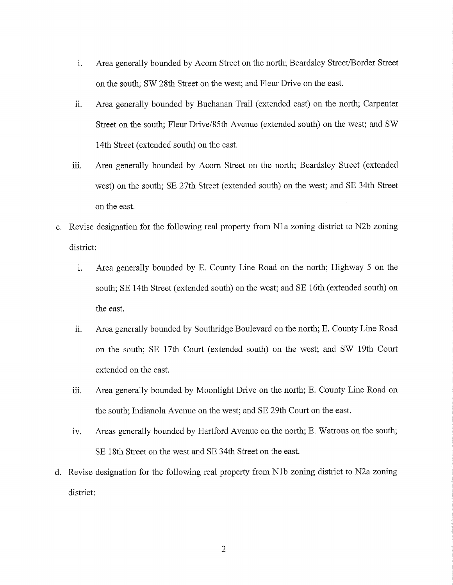- i. Area generally bounded by Acorn Street on the north; Beardsley Street/Border Street on the south; SW 28th Street on the west; and Fleur Drive on the east.
- ii. Area generally bounded by Buchaaan Trail (extended east) on the north; Carpenter Street on the south; Fleur Drive/85th Avenue (extended south) on the west; and SW 14th Street (extended south) on the east.
- iii. Area generally bounded by Acorn Street on the north; Beardsley Street (extended west) on the south; SE 27th Street (extended south) on the west; and SE 34th Street on the east.
- c. Revise designation for the following real property from Nla zoning district to N2b zoning district:
	- i. Area generally bounded by E. County Line Road on the north; Highway 5 on the south; SE 14th Street (extended south) on the west; and SE 16th (extended south) on the east.
	- ii. Area generally bounded by Southridge Boulevard on the north; E. County Line Road on the south; SE 17th Court (extended south) on the west; and SW 19th Court extended on the east.
	- iii. Area generally bounded by Moonlight Drive on the north; E. County Line Road on the south; Indianola Avenue on the west; and SE 29th Court on the east.
	- iv. Areas generally bounded by Hartford Avenue on the north; E. Watrous on the south; SE 18th Street on the west and SE 34th Street on the east.
- d. Revise designation for the following real property from Nlb zoning district to N2a zoning district: